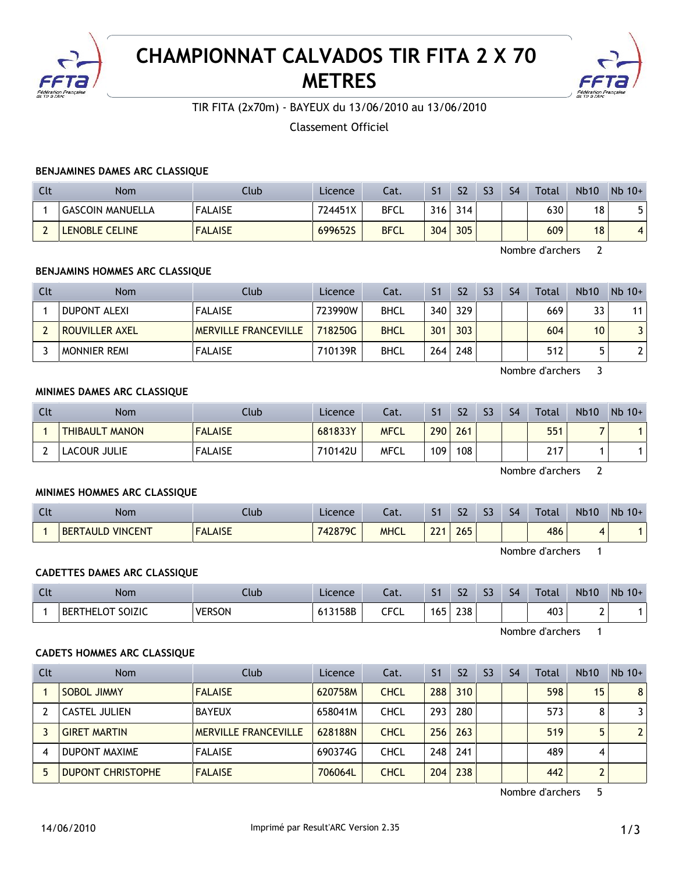

# **CHAMPIONNAT CALVADOS TIR FITA 2 X 70 METRES**



TIR FITA (2x70m) - BAYEUX du 13/06/2010 au 13/06/2010

Classement Officiel

## **BENJAMINES DAMES ARC CLASSIQUE**

| Clt | <b>Nom</b>              | Club           | Licence | Cat.        |     | S <sub>2</sub> | S <sub>3</sub> | S <sub>4</sub> | Total | <b>Nb10</b> | $Nb$ 10+       |
|-----|-------------------------|----------------|---------|-------------|-----|----------------|----------------|----------------|-------|-------------|----------------|
|     | <b>GASCOIN MANUELLA</b> | <b>FALAISE</b> | 724451X | <b>BFCL</b> | 316 | 314            |                |                | 630   | 18          |                |
|     | LENOBLE CELINE          | <b>FALAISE</b> | 699652S | <b>BFCL</b> | 304 | 305            |                |                | 609   | 18          | $\overline{a}$ |

Nombre d'archers 2

## **BENJAMINS HOMMES ARC CLASSIQUE**

| Clt | <b>Nom</b>          | Club                        | Licence | Cat.        | S1               | S <sub>2</sub> | S <sub>3</sub> | S <sub>4</sub> | Total | <b>Nb10</b>     | $Nb$ 10+ |
|-----|---------------------|-----------------------------|---------|-------------|------------------|----------------|----------------|----------------|-------|-----------------|----------|
|     | <b>DUPONT ALEXI</b> | <b>FALAISE</b>              | 723990W | <b>BHCL</b> | 340              | 329            |                |                | 669   | 33              | 11       |
|     | ROUVILLER AXEL      | <b>MERVILLE FRANCEVILLE</b> | 718250G | <b>BHCL</b> | 301              | 303            |                |                | 604   | 10 <sup>°</sup> | 3        |
|     | <b>MONNIER REMI</b> | <b>FALAISE</b>              | 710139R | <b>BHCL</b> | 264 <sub>1</sub> | 248            |                |                | 512   |                 | າເ       |

Nombre d'archers 3

## **MINIMES DAMES ARC CLASSIQUE**

| Clt | <b>Nom</b>            | Club           | Licence | Cat.        | S <sub>1</sub> | S <sub>2</sub> | S3 | S <sub>4</sub> | <b>Total</b> | <b>Nb10</b> | $Nb$ 10+ |
|-----|-----------------------|----------------|---------|-------------|----------------|----------------|----|----------------|--------------|-------------|----------|
|     | <b>THIBAULT MANON</b> | <b>FALAISE</b> | 681833Y | <b>MFCL</b> | 290            | 261            |    |                | 551          |             |          |
|     | LACOUR JULIE          | <b>FALAISE</b> | 710142U | <b>MFCL</b> | 109            | 108            |    |                | 217          |             |          |

Nombre d'archers 2

## **MINIMES HOMMES ARC CLASSIQUE**

| Clt | <b>Nom</b>                        | Ilub                                        | Licence | ™<br>cal.   | $\sim$<br>ו כ | S <sub>2</sub> | $\mathbf{C}$<br>CC | S <sub>4</sub> | Total | <b>Nb10</b> | Nb<br>$10+$ |
|-----|-----------------------------------|---------------------------------------------|---------|-------------|---------------|----------------|--------------------|----------------|-------|-------------|-------------|
|     | <b>VINCENT</b><br><b>BERTAULI</b> | <b>ALAISE</b><br><b>EAL</b><br>$F^{\prime}$ | 742879C | <b>MHCL</b> | 221<br>LL     | 265            |                    |                | 486   |             |             |

Nombre d'archers 1

## **CADETTES DAMES ARC CLASSIQUE**

| $\sim$<br>นเ | <b>Nom</b>                         | Llub          | Licence | ۵t.       | ו כ | S <sub>2</sub> | $\sim$<br>$\sim$ | S <sub>4</sub> | Total | <b>Nb10</b> | N <sub>b</sub><br>$10+$ |
|--------------|------------------------------------|---------------|---------|-----------|-----|----------------|------------------|----------------|-------|-------------|-------------------------|
|              | <b>OT SOIZIC</b><br><b>BERTHEL</b> | <b>VERSON</b> | 158B    | CECI<br>ິ | . r | 238            |                  |                | 403   | -<br>∸      |                         |

Nombre d'archers 1

## **CADETS HOMMES ARC CLASSIQUE**

| Clt | <b>Nom</b>               | Club                        | Licence | Cat.        | S <sub>1</sub> | S <sub>2</sub> | S <sub>3</sub> | S <sub>4</sub> | Total | Nb10 | $Nb$ 10+       |
|-----|--------------------------|-----------------------------|---------|-------------|----------------|----------------|----------------|----------------|-------|------|----------------|
|     | <b>SOBOL JIMMY</b>       | <b>FALAISE</b>              | 620758M | <b>CHCL</b> | 288            | 310            |                |                | 598   | 15   | 8              |
|     | CASTEL JULIEN            | <b>BAYEUX</b>               | 658041M | <b>CHCL</b> | 293            | 280            |                |                | 573   | 8    | 3              |
|     | <b>GIRET MARTIN</b>      | <b>MERVILLE FRANCEVILLE</b> | 628188N | <b>CHCL</b> | 256            | 263            |                |                | 519   |      | $\overline{2}$ |
| 4   | <b>DUPONT MAXIME</b>     | <b>FALAISE</b>              | 690374G | <b>CHCL</b> | 248            | 241            |                |                | 489   | 4    |                |
|     | <b>DUPONT CHRISTOPHE</b> | <b>FALAISE</b>              | 706064L | <b>CHCL</b> | 204            | 238            |                |                | 442   |      |                |

Nombre d'archers 5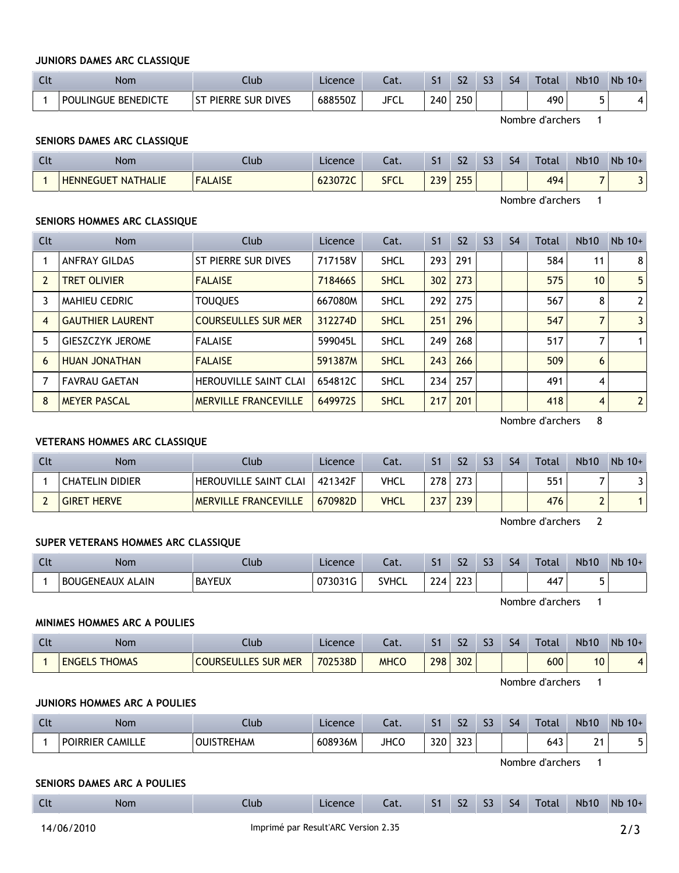## **JUNIORS DAMES ARC CLASSIQUE**

| <b>Nom</b>          | Llub                                               | Licence | $\sim$<br>cal. | . . | ch<br>גכ | $\sim$ | S4 | Total | <b>Nb10</b> | <b>Nb</b><br>$10+$ |
|---------------------|----------------------------------------------------|---------|----------------|-----|----------|--------|----|-------|-------------|--------------------|
| POULINGUE BENEDICTE | <b>DIVES</b><br><b>PIERRE</b><br>$-$<br><b>SUR</b> | 688550Z | <b>JFCL</b>    | 240 | 250      |        |    | 490   |             |                    |

Nombre d'archers 1

## **SENIORS DAMES ARC CLASSIQUE**

| $\sim$<br>นเ | <b>Nom</b>                          | lub.           | Licence | $\sim$<br>Jal. | . .       | $\mathbf{C}$<br>77 | $\mathbf{C}$<br>-- | ς4 | Total | <b>Nb10</b>              | Nb<br>$10+$ |
|--------------|-------------------------------------|----------------|---------|----------------|-----------|--------------------|--------------------|----|-------|--------------------------|-------------|
|              | <b>NATHALIE</b><br><b>HENNEGUET</b> | <b>FALAISE</b> | 623072C | <b>SFCL</b>    | 220<br>__ | つらら<br><b>LJJ</b>  |                    |    | 494   | $\overline{\phantom{a}}$ | -<br>J      |

Nombre d'archers 1

## **SENIORS HOMMES ARC CLASSIQUE**

| Clt | <b>Nom</b>              | Club                         | Licence | Cat.        | S <sub>1</sub> | S <sub>2</sub> | S <sub>3</sub> | S <sub>4</sub> | Total | <b>Nb10</b>     | $Nb$ 10+       |
|-----|-------------------------|------------------------------|---------|-------------|----------------|----------------|----------------|----------------|-------|-----------------|----------------|
|     | <b>ANFRAY GILDAS</b>    | ST PIERRE SUR DIVES          | 717158V | <b>SHCL</b> | 293            | 291            |                |                | 584   | 11              | 8              |
|     | <b>TRET OLIVIER</b>     | <b>FALAISE</b>               | 718466S | <b>SHCL</b> | 302            | 273            |                |                | 575   | 10 <sup>°</sup> | 5              |
| 3   | <b>MAHIEU CEDRIC</b>    | <b>TOUQUES</b>               | 667080M | <b>SHCL</b> | 292            | 275            |                |                | 567   | 8               | $\overline{2}$ |
| 4   | <b>GAUTHIER LAURENT</b> | <b>COURSEULLES SUR MER</b>   | 312274D | <b>SHCL</b> | 251            | 296            |                |                | 547   |                 | 3              |
| 5   | <b>GIESZCZYK JEROME</b> | <b>FALAISE</b>               | 599045L | <b>SHCL</b> | 249            | 268            |                |                | 517   |                 | $\mathbf 1$    |
| 6   | HUAN JONATHAN           | <b>FALAISE</b>               | 591387M | <b>SHCL</b> | 243            | 266            |                |                | 509   | 6               |                |
|     | <b>FAVRAU GAETAN</b>    | <b>HEROUVILLE SAINT CLAI</b> | 654812C | <b>SHCL</b> | 234            | 257            |                |                | 491   | 4               |                |
| 8   | <b>MEYER PASCAL</b>     | <b>MERVILLE FRANCEVILLE</b>  | 649972S | <b>SHCL</b> | 217            | 201            |                |                | 418   | 4               | $\overline{2}$ |

Nombre d'archers 8

## **VETERANS HOMMES ARC CLASSIQUE**

| Clt | Nom                | Club.                       | Licence | Cat.        |     | S <sub>2</sub> | S <sub>3</sub> | S4 | <b>Total</b> | <b>Nb10</b> | $Nb$ 10+ |
|-----|--------------------|-----------------------------|---------|-------------|-----|----------------|----------------|----|--------------|-------------|----------|
|     | CHATELIN DIDIER    | HEROUVILLE SAINT CLAI       | 421342F | VHCL        | 278 | 273            |                |    | 551          |             |          |
|     | <b>GIRET HERVE</b> | <b>MERVILLE FRANCEVILLE</b> | 670982D | <b>VHCL</b> | 237 | 239            |                |    | 476          |             |          |

Nombre d'archers 2

## **SUPER VETERANS HOMMES ARC CLASSIQUE**

| - ULL | Nom                     | Ilub          | Licence | Cat.         | эı  | S <sub>2</sub> | C <sub>2</sub><br>נכ | S <sub>4</sub> | Total | <b>Nb10</b> | Nb<br>$10+$ |
|-------|-------------------------|---------------|---------|--------------|-----|----------------|----------------------|----------------|-------|-------------|-------------|
|       | <b>BOUGENEAUX ALAIN</b> | <b>BAYEUX</b> | 073031G | <b>SVHCL</b> | 224 | 223            |                      |                | 447   |             |             |

Nombre d'archers 1

## **MINIMES HOMMES ARC A POULIES**

| $\mathsf{C}$<br>nu. | Nom                  | .lub                       | Licence | Cat.        |     | $\mathbf{C}$<br>גכ | ch | 54 | Total | <b>Nb10</b> | Nb<br>$10+$ |
|---------------------|----------------------|----------------------------|---------|-------------|-----|--------------------|----|----|-------|-------------|-------------|
|                     | <b>ENGELS THOMAS</b> | <b>COURSEULLES SUR MER</b> | 702538D | <b>MHCC</b> | 298 | 302                |    |    | 600   | 10          |             |

Nombre d'archers 1

#### **JUNIORS HOMMES ARC A POULIES**

| $\sim$<br>n Circ | Nom                       | lub.       | Licence | .<br>.<br>Jal. | - -<br>ا د | $\sim$<br>24  | $\sim$<br>-- | $\varsigma_{\Delta}$<br>-- | Total | <b>Nb10</b> | Nb<br>$10+$ |
|------------------|---------------------------|------------|---------|----------------|------------|---------------|--------------|----------------------------|-------|-------------|-------------|
|                  | CAMILLE<br><b>POIRRIE</b> | ₽F<br>.HAM | 608936M | <b>JHCC</b>    | 320        | $\sim$<br>ر_ر |              |                            | 643   | $\sim$<br>- |             |

Nombre d'archers 1

#### **SENIORS DAMES ARC A POULIES**

| Clt | Nom | $1$ ub | <b>Licence</b> | Cat. | 51 | $\sim$<br>SΖ | S <sub>3</sub> | S <sub>4</sub> | Total | <b>Nb10</b> | Nb 10+ |
|-----|-----|--------|----------------|------|----|--------------|----------------|----------------|-------|-------------|--------|
|     |     |        |                |      |    |              |                |                |       |             |        |